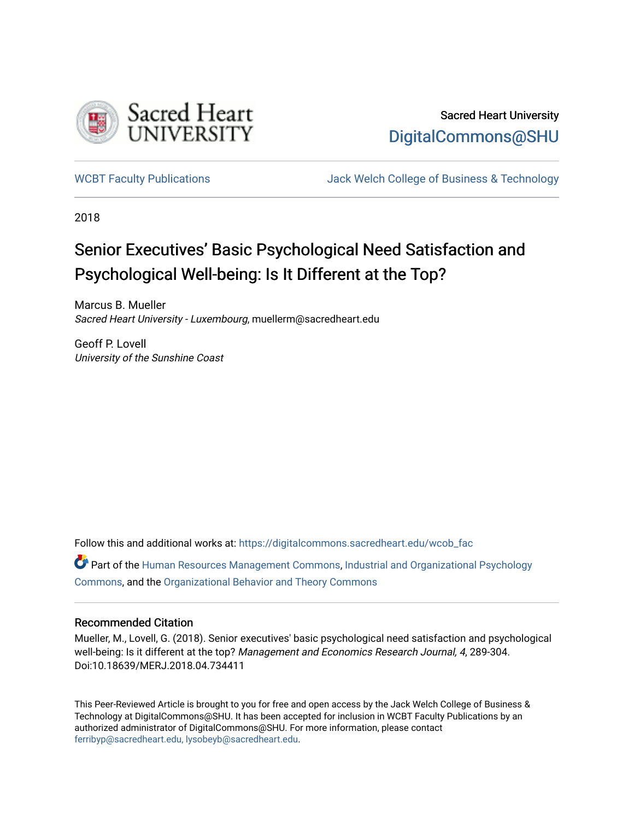

## Sacred Heart University [DigitalCommons@SHU](https://digitalcommons.sacredheart.edu/)

[WCBT Faculty Publications](https://digitalcommons.sacredheart.edu/wcob_fac) [Jack Welch College of Business & Technology](https://digitalcommons.sacredheart.edu/wcob) 

2018

# Senior Executives' Basic Psychological Need Satisfaction and Psychological Well-being: Is It Different at the Top?

Marcus B. Mueller Sacred Heart University - Luxembourg, muellerm@sacredheart.edu

Geoff P. Lovell University of the Sunshine Coast

Follow this and additional works at: [https://digitalcommons.sacredheart.edu/wcob\\_fac](https://digitalcommons.sacredheart.edu/wcob_fac?utm_source=digitalcommons.sacredheart.edu%2Fwcob_fac%2F503&utm_medium=PDF&utm_campaign=PDFCoverPages)

Part of the [Human Resources Management Commons,](http://network.bepress.com/hgg/discipline/633?utm_source=digitalcommons.sacredheart.edu%2Fwcob_fac%2F503&utm_medium=PDF&utm_campaign=PDFCoverPages) [Industrial and Organizational Psychology](http://network.bepress.com/hgg/discipline/412?utm_source=digitalcommons.sacredheart.edu%2Fwcob_fac%2F503&utm_medium=PDF&utm_campaign=PDFCoverPages) [Commons](http://network.bepress.com/hgg/discipline/412?utm_source=digitalcommons.sacredheart.edu%2Fwcob_fac%2F503&utm_medium=PDF&utm_campaign=PDFCoverPages), and the [Organizational Behavior and Theory Commons](http://network.bepress.com/hgg/discipline/639?utm_source=digitalcommons.sacredheart.edu%2Fwcob_fac%2F503&utm_medium=PDF&utm_campaign=PDFCoverPages) 

#### Recommended Citation

Mueller, M., Lovell, G. (2018). Senior executives' basic psychological need satisfaction and psychological well-being: Is it different at the top? Management and Economics Research Journal, 4, 289-304. Doi:10.18639/MERJ.2018.04.734411

This Peer-Reviewed Article is brought to you for free and open access by the Jack Welch College of Business & Technology at DigitalCommons@SHU. It has been accepted for inclusion in WCBT Faculty Publications by an authorized administrator of DigitalCommons@SHU. For more information, please contact [ferribyp@sacredheart.edu, lysobeyb@sacredheart.edu.](mailto:ferribyp@sacredheart.edu,%20lysobeyb@sacredheart.edu)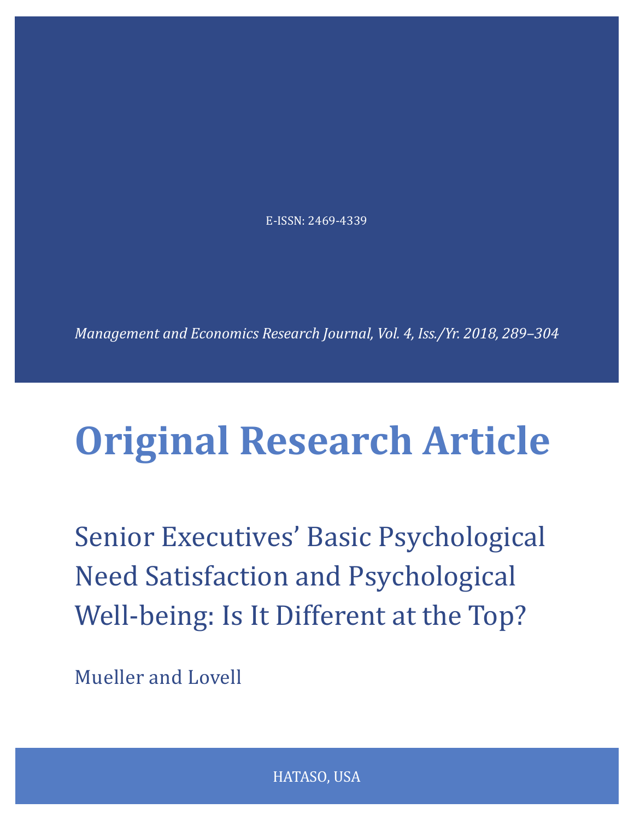E-ISSN: 2469-4339

*Management and Economics Research Journal, Vol. 4, Iss./Yr. 2018, 289–304*

# **Original Research Article**

Senior Executives' Basic Psychological Need Satisfaction and Psychological Well-being: Is It Different at the Top?

Mueller and Lovell

HATASO, USA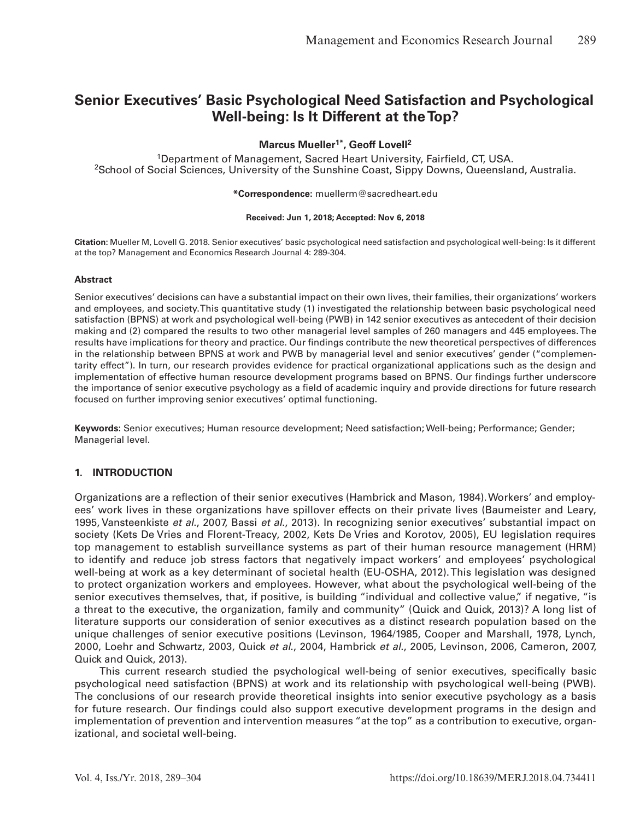### **Senior Executives' Basic Psychological Need Satisfaction and Psychological Well-being: Is It Different at the Top?**

#### **Marcus Mueller1\* , Geoff Lovell<sup>2</sup>**

<sup>1</sup>Department of Management, Sacred Heart University, Fairfield, CT, USA. <sup>2</sup>School of Social Sciences, University of the Sunshine Coast, Sippy Downs, Queensland, Australia.

#### **\*Correspondence:** muellerm@sacredheart.edu

#### **Received: Jun 1, 2018; Accepted: Nov 6, 2018**

**Citation:** Mueller M, Lovell G. 2018. Senior executives' basic psychological need satisfaction and psychological well-being: Is it different at the top? Management and Economics Research Journal 4: 289-304.

#### **Abstract**

Senior executives' decisions can have a substantial impact on their own lives, their families, their organizations' workers and employees, and society.This quantitative study (1) investigated the relationship between basic psychological need satisfaction (BPNS) at work and psychological well-being (PWB) in 142 senior executives as antecedent of their decision making and (2) compared the results to two other managerial level samples of 260 managers and 445 employees.The results have implications for theory and practice. Our findings contribute the new theoretical perspectives of differences in the relationship between BPNS at work and PWB by managerial level and senior executives' gender ("complementarity effect"). In turn, our research provides evidence for practical organizational applications such as the design and implementation of effective human resource development programs based on BPNS. Our findings further underscore the importance of senior executive psychology as a field of academic inquiry and provide directions for future research focused on further improving senior executives' optimal functioning.

**Keywords:** Senior executives; Human resource development; Need satisfaction; Well-being; Performance; Gender; Managerial level.

#### **1. INTRODUCTION**

Organizations are a reflection of their senior executives (Hambrick and Mason, 1984).Workers' and employees' work lives in these organizations have spillover effects on their private lives (Baumeister and Leary, 1995, Vansteenkiste *et al*., 2007, Bassi *et al*., 2013). In recognizing senior executives' substantial impact on society (Kets De Vries and Florent-Treacy, 2002, Kets De Vries and Korotov, 2005), EU legislation requires top management to establish surveillance systems as part of their human resource management (HRM) to identify and reduce job stress factors that negatively impact workers' and employees' psychological well-being at work as a key determinant of societal health (EU-OSHA, 2012).This legislation was designed to protect organization workers and employees. However, what about the psychological well-being of the senior executives themselves, that, if positive, is building "individual and collective value," if negative, "is a threat to the executive, the organization, family and community" (Quick and Quick, 2013)? A long list of literature supports our consideration of senior executives as a distinct research population based on the unique challenges of senior executive positions (Levinson, 1964/1985, Cooper and Marshall, 1978, Lynch, 2000, Loehr and Schwartz, 2003, Quick *et al*., 2004, Hambrick *et al*., 2005, Levinson, 2006, Cameron, 2007, Quick and Quick, 2013).

This current research studied the psychological well-being of senior executives, specifically basic psychological need satisfaction (BPNS) at work and its relationship with psychological well-being (PWB). The conclusions of our research provide theoretical insights into senior executive psychology as a basis for future research. Our findings could also support executive development programs in the design and implementation of prevention and intervention measures "at the top" as a contribution to executive, organizational, and societal well-being.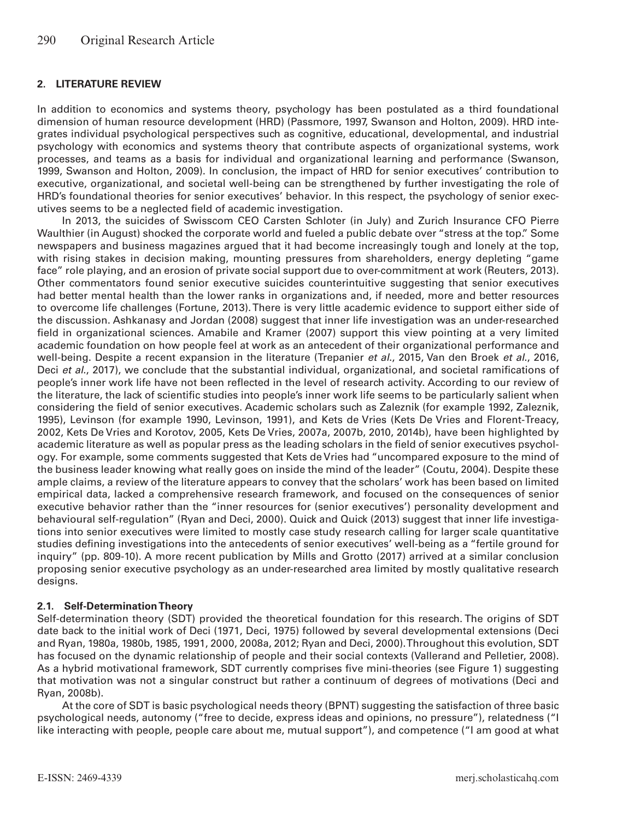#### **2. LITERATURE REVIEW**

In addition to economics and systems theory, psychology has been postulated as a third foundational dimension of human resource development (HRD) (Passmore, 1997, Swanson and Holton, 2009). HRD integrates individual psychological perspectives such as cognitive, educational, developmental, and industrial psychology with economics and systems theory that contribute aspects of organizational systems, work processes, and teams as a basis for individual and organizational learning and performance (Swanson, 1999, Swanson and Holton, 2009). In conclusion, the impact of HRD for senior executives' contribution to executive, organizational, and societal well-being can be strengthened by further investigating the role of HRD's foundational theories for senior executives' behavior. In this respect, the psychology of senior executives seems to be a neglected field of academic investigation.

In 2013, the suicides of Swisscom CEO Carsten Schloter (in July) and Zurich Insurance CFO Pierre Waulthier (in August) shocked the corporate world and fueled a public debate over "stress at the top." Some newspapers and business magazines argued that it had become increasingly tough and lonely at the top, with rising stakes in decision making, mounting pressures from shareholders, energy depleting "game face" role playing, and an erosion of private social support due to over-commitment at work (Reuters, 2013). Other commentators found senior executive suicides counterintuitive suggesting that senior executives had better mental health than the lower ranks in organizations and, if needed, more and better resources to overcome life challenges (Fortune, 2013). There is very little academic evidence to support either side of the discussion. Ashkanasy and Jordan (2008) suggest that inner life investigation was an under-researched field in organizational sciences. Amabile and Kramer (2007) support this view pointing at a very limited academic foundation on how people feel at work as an antecedent of their organizational performance and well-being. Despite a recent expansion in the literature (Trepanier *et al*., 2015, Van den Broek *et al*., 2016, Deci *et al*., 2017), we conclude that the substantial individual, organizational, and societal ramifications of people's inner work life have not been reflected in the level of research activity. According to our review of the literature, the lack of scientific studies into people's inner work life seems to be particularly salient when considering the field of senior executives. Academic scholars such as Zaleznik (for example 1992, Zaleznik, 1995), Levinson (for example 1990, Levinson, 1991), and Kets de Vries (Kets De Vries and Florent-Treacy, 2002, Kets De Vries and Korotov, 2005, Kets De Vries, 2007a, 2007b, 2010, 2014b), have been highlighted by academic literature as well as popular press as the leading scholars in the field of senior executives psychology. For example, some comments suggested that Kets de Vries had "uncompared exposure to the mind of the business leader knowing what really goes on inside the mind of the leader" (Coutu, 2004). Despite these ample claims, a review of the literature appears to convey that the scholars' work has been based on limited empirical data, lacked a comprehensive research framework, and focused on the consequences of senior executive behavior rather than the "inner resources for (senior executives') personality development and behavioural self-regulation" (Ryan and Deci, 2000). Quick and Quick (2013) suggest that inner life investigations into senior executives were limited to mostly case study research calling for larger scale quantitative studies defining investigations into the antecedents of senior executives' well-being as a "fertile ground for inquiry" (pp. 809-10). A more recent publication by Mills and Grotto (2017) arrived at a similar conclusion proposing senior executive psychology as an under-researched area limited by mostly qualitative research designs.

#### **2.1. Self-Determination Theory**

Self-determination theory (SDT) provided the theoretical foundation for this research. The origins of SDT date back to the initial work of Deci (1971, Deci, 1975) followed by several developmental extensions (Deci and Ryan, 1980a, 1980b, 1985, 1991, 2000, 2008a, 2012; Ryan and Deci, 2000). Throughout this evolution, SDT has focused on the dynamic relationship of people and their social contexts (Vallerand and Pelletier, 2008). As a hybrid motivational framework, SDT currently comprises five mini-theories (see Figure 1) suggesting that motivation was not a singular construct but rather a continuum of degrees of motivations (Deci and Ryan, 2008b).

At the core of SDT is basic psychological needs theory (BPNT) suggesting the satisfaction of three basic psychological needs, autonomy ("free to decide, express ideas and opinions, no pressure"), relatedness ("I like interacting with people, people care about me, mutual support"), and competence ("I am good at what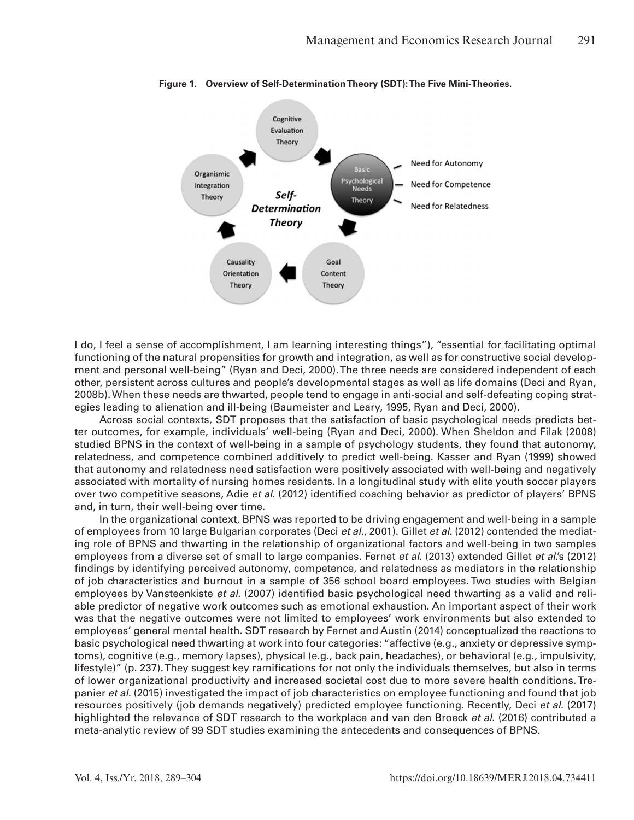

**Figure 1. Overview of Self-Determination Theory (SDT): The Five Mini-Theories.**

I do, I feel a sense of accomplishment, I am learning interesting things"), "essential for facilitating optimal functioning of the natural propensities for growth and integration, as well as for constructive social development and personal well-being" (Ryan and Deci, 2000). The three needs are considered independent of each other, persistent across cultures and people's developmental stages as well as life domains (Deci and Ryan, 2008b). When these needs are thwarted, people tend to engage in anti-social and self-defeating coping strategies leading to alienation and ill-being (Baumeister and Leary, 1995, Ryan and Deci, 2000).

Across social contexts, SDT proposes that the satisfaction of basic psychological needs predicts better outcomes, for example, individuals' well-being (Ryan and Deci, 2000). When Sheldon and Filak (2008) studied BPNS in the context of well-being in a sample of psychology students, they found that autonomy, relatedness, and competence combined additively to predict well-being. Kasser and Ryan (1999) showed that autonomy and relatedness need satisfaction were positively associated with well-being and negatively associated with mortality of nursing homes residents. In a longitudinal study with elite youth soccer players over two competitive seasons, Adie *et al*. (2012) identified coaching behavior as predictor of players' BPNS and, in turn, their well-being over time.

In the organizational context, BPNS was reported to be driving engagement and well-being in a sample of employees from 10 large Bulgarian corporates (Deci *et al*., 2001). Gillet *et al*. (2012) contended the mediating role of BPNS and thwarting in the relationship of organizational factors and well-being in two samples employees from a diverse set of small to large companies. Fernet *et al*. (2013) extended Gillet *et al*.'s (2012) findings by identifying perceived autonomy, competence, and relatedness as mediators in the relationship of job characteristics and burnout in a sample of 356 school board employees. Two studies with Belgian employees by Vansteenkiste *et al*. (2007) identified basic psychological need thwarting as a valid and reliable predictor of negative work outcomes such as emotional exhaustion. An important aspect of their work was that the negative outcomes were not limited to employees' work environments but also extended to employees' general mental health. SDT research by Fernet and Austin (2014) conceptualized the reactions to basic psychological need thwarting at work into four categories: "affective (e.g., anxiety or depressive symptoms), cognitive (e.g., memory lapses), physical (e.g., back pain, headaches), or behavioral (e.g., impulsivity, lifestyle)" (p. 237). They suggest key ramifications for not only the individuals themselves, but also in terms of lower organizational productivity and increased societal cost due to more severe health conditions. Trepanier *et al*. (2015) investigated the impact of job characteristics on employee functioning and found that job resources positively (job demands negatively) predicted employee functioning. Recently, Deci *et al*. (2017) highlighted the relevance of SDT research to the workplace and van den Broeck *et al*. (2016) contributed a meta-analytic review of 99 SDT studies examining the antecedents and consequences of BPNS.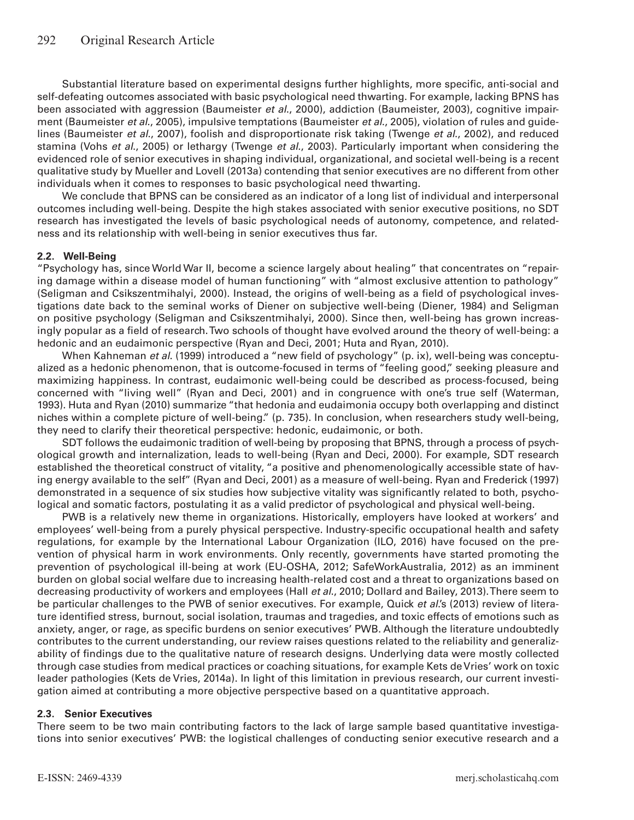Substantial literature based on experimental designs further highlights, more specific, anti-social and self-defeating outcomes associated with basic psychological need thwarting. For example, lacking BPNS has been associated with aggression (Baumeister *et al*., 2000), addiction (Baumeister, 2003), cognitive impairment (Baumeister *et al*., 2005), impulsive temptations (Baumeister *et al*., 2005), violation of rules and guidelines (Baumeister *et al*., 2007), foolish and disproportionate risk taking (Twenge *et al*., 2002), and reduced stamina (Vohs *et al*., 2005) or lethargy (Twenge *et al*., 2003). Particularly important when considering the evidenced role of senior executives in shaping individual, organizational, and societal well-being is a recent qualitative study by Mueller and Lovell (2013a) contending that senior executives are no different from other individuals when it comes to responses to basic psychological need thwarting.

We conclude that BPNS can be considered as an indicator of a long list of individual and interpersonal outcomes including well-being. Despite the high stakes associated with senior executive positions, no SDT research has investigated the levels of basic psychological needs of autonomy, competence, and relatedness and its relationship with well-being in senior executives thus far.

#### **2.2. Well-Being**

"Psychology has, since World War II, become a science largely about healing" that concentrates on "repairing damage within a disease model of human functioning" with "almost exclusive attention to pathology" (Seligman and Csikszentmihalyi, 2000). Instead, the origins of well-being as a field of psychological investigations date back to the seminal works of Diener on subjective well-being (Diener, 1984) and Seligman on positive psychology (Seligman and Csikszentmihalyi, 2000). Since then, well-being has grown increasingly popular as a field of research. Two schools of thought have evolved around the theory of well-being: a hedonic and an eudaimonic perspective (Ryan and Deci, 2001; Huta and Ryan, 2010).

When Kahneman *et al*. (1999) introduced a "new field of psychology" (p. ix), well-being was conceptualized as a hedonic phenomenon, that is outcome-focused in terms of "feeling good," seeking pleasure and maximizing happiness. In contrast, eudaimonic well-being could be described as process-focused, being concerned with "living well" (Ryan and Deci, 2001) and in congruence with one's true self (Waterman, 1993). Huta and Ryan (2010) summarize "that hedonia and eudaimonia occupy both overlapping and distinct niches within a complete picture of well-being." (p. 735). In conclusion, when researchers study well-being, they need to clarify their theoretical perspective: hedonic, eudaimonic, or both.

SDT follows the eudaimonic tradition of well-being by proposing that BPNS, through a process of psychological growth and internalization, leads to well-being (Ryan and Deci, 2000). For example, SDT research established the theoretical construct of vitality, "a positive and phenomenologically accessible state of having energy available to the self" (Ryan and Deci, 2001) as a measure of well-being. Ryan and Frederick (1997) demonstrated in a sequence of six studies how subjective vitality was significantly related to both, psychological and somatic factors, postulating it as a valid predictor of psychological and physical well-being.

PWB is a relatively new theme in organizations. Historically, employers have looked at workers' and employees' well-being from a purely physical perspective. Industry-specific occupational health and safety regulations, for example by the International Labour Organization (ILO, 2016) have focused on the prevention of physical harm in work environments. Only recently, governments have started promoting the prevention of psychological ill-being at work (EU-OSHA, 2012; SafeWorkAustralia, 2012) as an imminent burden on global social welfare due to increasing health-related cost and a threat to organizations based on decreasing productivity of workers and employees (Hall *et al*., 2010; Dollard and Bailey, 2013). There seem to be particular challenges to the PWB of senior executives. For example, Quick *et al*.'s (2013) review of literature identified stress, burnout, social isolation, traumas and tragedies, and toxic effects of emotions such as anxiety, anger, or rage, as specific burdens on senior executives' PWB. Although the literature undoubtedly contributes to the current understanding, our review raises questions related to the reliability and generalizability of findings due to the qualitative nature of research designs. Underlying data were mostly collected through case studies from medical practices or coaching situations, for example Kets de Vries' work on toxic leader pathologies (Kets de Vries, 2014a). In light of this limitation in previous research, our current investigation aimed at contributing a more objective perspective based on a quantitative approach.

#### **2.3. Senior Executives**

There seem to be two main contributing factors to the lack of large sample based quantitative investigations into senior executives' PWB: the logistical challenges of conducting senior executive research and a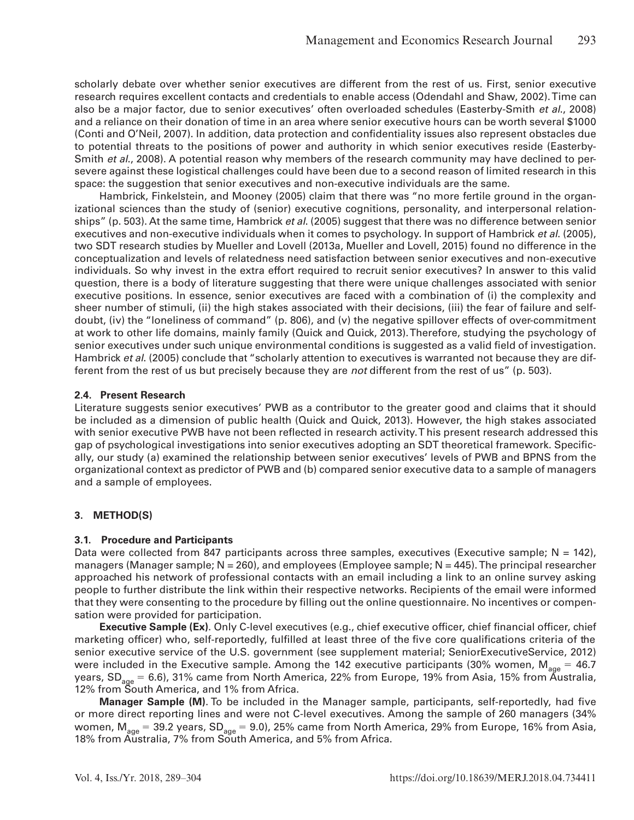scholarly debate over whether senior executives are different from the rest of us. First, senior executive research requires excellent contacts and credentials to enable access (Odendahl and Shaw, 2002).Time can also be a major factor, due to senior executives' often overloaded schedules (Easterby-Smith *et al*., 2008) and a reliance on their donation of time in an area where senior executive hours can be worth several \$1000 (Conti and O'Neil, 2007). In addition, data protection and confidentiality issues also represent obstacles due to potential threats to the positions of power and authority in which senior executives reside (Easterby-Smith *et al*., 2008). A potential reason why members of the research community may have declined to persevere against these logistical challenges could have been due to a second reason of limited research in this space: the suggestion that senior executives and non-executive individuals are the same.

Hambrick, Finkelstein, and Mooney (2005) claim that there was "no more fertile ground in the organizational sciences than the study of (senior) executive cognitions, personality, and interpersonal relationships" (p. 503). At the same time, Hambrick *et al*. (2005) suggest that there was no difference between senior executives and non-executive individuals when it comes to psychology. In support of Hambrick *et al*. (2005), two SDT research studies by Mueller and Lovell (2013a, Mueller and Lovell, 2015) found no difference in the conceptualization and levels of relatedness need satisfaction between senior executives and non-executive individuals. So why invest in the extra effort required to recruit senior executives? In answer to this valid question, there is a body of literature suggesting that there were unique challenges associated with senior executive positions. In essence, senior executives are faced with a combination of (i) the complexity and sheer number of stimuli, (ii) the high stakes associated with their decisions, (iii) the fear of failure and selfdoubt, (iv) the "loneliness of command" (p. 806), and (v) the negative spillover effects of over-commitment at work to other life domains, mainly family (Quick and Quick, 2013).Therefore, studying the psychology of senior executives under such unique environmental conditions is suggested as a valid field of investigation. Hambrick *et al*. (2005) conclude that "scholarly attention to executives is warranted not because they are different from the rest of us but precisely because they are *not* different from the rest of us" (p. 503).

#### **2.4. Present Research**

Literature suggests senior executives' PWB as a contributor to the greater good and claims that it should be included as a dimension of public health (Quick and Quick, 2013). However, the high stakes associated with senior executive PWB have not been reflected in research activity. T his present research addressed this gap of psychological investigations into senior executives adopting an SDT theoretical framework. Specifically, our study (a) examined the relationship between senior executives' levels of PWB and BPNS from the organizational context as predictor of PWB and (b) compared senior executive data to a sample of managers and a sample of employees.

#### **3. METHOD(S)**

#### **3.1. Procedure and Participants**

Data were collected from 847 participants across three samples, executives (Executive sample;  $N = 142$ ), managers (Manager sample;  $N = 260$ ), and employees (Employee sample;  $N = 445$ ). The principal researcher approached his network of professional contacts with an email including a link to an online survey asking people to further distribute the link within their respective networks. Recipients of the email were informed that they were consenting to the procedure by filling out the online questionnaire. No incentives or compensation were provided for participation.

**Executive Sample (Ex)**. Only C-level executives (e.g., chief executive officer, chief financial officer, chief marketing officer) who, self-reportedly, fulfilled at least three of the five core qualifications criteria of the senior executive service of the U.S. government (see supplement material; SeniorExecutiveService, 2012) were included in the Executive sample. Among the 142 executive participants (30% women,  $M_{\text{age}} = 46.7$ years, SD<sub>age</sub> = 6.6), 31% came from North America, 22% from Europe, 19% from Asia, 15% from Australia, 12% from South America, and 1% from Africa.

**Manager Sample (M)**. To be included in the Manager sample, participants, self-reportedly, had five or more direct reporting lines and were not C-level executives. Among the sample of 260 managers (34% women,  $M_{age} = 39.2$  years,  $SD_{age} = 9.0$ ), 25% came from North America, 29% from Europe, 16% from Asia, 18% from Australia, 7% from South America, and 5% from Africa.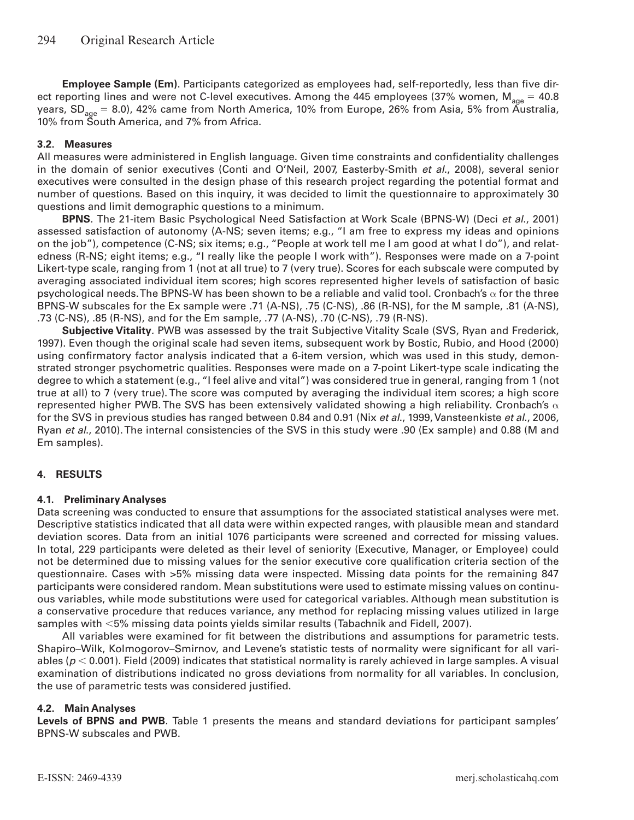**Employee Sample (Em)**. Participants categorized as employees had, self-reportedly, less than five direct reporting lines and were not C-level executives. Among the 445 employees (37% women,  $M_{\text{age}} = 40.8$ years,  $SD<sub>ace</sub> = 8.0$ ), 42% came from North America, 10% from Europe, 26% from Asia, 5% from Australia, 10% from South America, and 7% from Africa.

#### **3.2. Measures**

All measures were administered in English language. Given time constraints and confidentiality challenges in the domain of senior executives (Conti and O'Neil, 2007, Easterby-Smith *et al*., 2008), several senior executives were consulted in the design phase of this research project regarding the potential format and number of questions. Based on this inquiry, it was decided to limit the questionnaire to approximately 30 questions and limit demographic questions to a minimum.

**BPNS***.* The 21-item Basic Psychological Need Satisfaction at Work Scale (BPNS-W) (Deci *et al*., 2001) assessed satisfaction of autonomy (A-NS; seven items; e.g., "I am free to express my ideas and opinions on the job"), competence (C-NS; six items; e.g., "People at work tell me I am good at what I do"), and relatedness (R-NS; eight items; e.g., "I really like the people I work with"). Responses were made on a 7-point Likert-type scale, ranging from 1 (not at all true) to 7 (very true). Scores for each subscale were computed by averaging associated individual item scores; high scores represented higher levels of satisfaction of basic psychological needs. The BPNS-W has been shown to be a reliable and valid tool. Cronbach's  $\alpha$  for the three BPNS-W subscales for the Ex sample were .71 (A-NS), .75 (C-NS), .86 (R-NS), for the M sample, .81 (A-NS), .73 (C-NS), .85 (R-NS), and for the Em sample, .77 (A-NS), .70 (C-NS), .79 (R-NS).

**Subjective Vitality***.* PWB was assessed by the trait Subjective Vitality Scale (SVS, Ryan and Frederick, 1997). Even though the original scale had seven items, subsequent work by Bostic, Rubio, and Hood (2000) using confirmatory factor analysis indicated that a 6-item version, which was used in this study, demonstrated stronger psychometric qualities. Responses were made on a 7-point Likert-type scale indicating the degree to which a statement (e.g., "I feel alive and vital") was considered true in general, ranging from 1 (not true at all) to 7 (very true). The score was computed by averaging the individual item scores; a high score represented higher PWB. The SVS has been extensively validated showing a high reliability. Cronbach's  $\alpha$ for the SVS in previous studies has ranged between 0.84 and 0.91 (Nix *et al*., 1999, Vansteenkiste *et al*., 2006, Ryan *et al*., 2010). The internal consistencies of the SVS in this study were .90 (Ex sample) and 0.88 (M and Em samples).

#### **4. RESULTS**

#### **4.1. Preliminary Analyses**

Data screening was conducted to ensure that assumptions for the associated statistical analyses were met. Descriptive statistics indicated that all data were within expected ranges, with plausible mean and standard deviation scores. Data from an initial 1076 participants were screened and corrected for missing values. In total, 229 participants were deleted as their level of seniority (Executive, Manager, or Employee) could not be determined due to missing values for the senior executive core qualification criteria section of the questionnaire. Cases with >5% missing data were inspected. Missing data points for the remaining 847 participants were considered random. Mean substitutions were used to estimate missing values on continuous variables, while mode substitutions were used for categorical variables. Although mean substitution is a conservative procedure that reduces variance, any method for replacing missing values utilized in large samples with  $<$ 5% missing data points yields similar results (Tabachnik and Fidell, 2007).

All variables were examined for fit between the distributions and assumptions for parametric tests. Shapiro–Wilk, Kolmogorov–Smirnov, and Levene's statistic tests of normality were significant for all variables ( $p < 0.001$ ). Field (2009) indicates that statistical normality is rarely achieved in large samples. A visual examination of distributions indicated no gross deviations from normality for all variables. In conclusion, the use of parametric tests was considered justified.

#### **4.2. Main Analyses**

**Levels of BPNS and PWB***.* Table 1 presents the means and standard deviations for participant samples' BPNS-W subscales and PWB.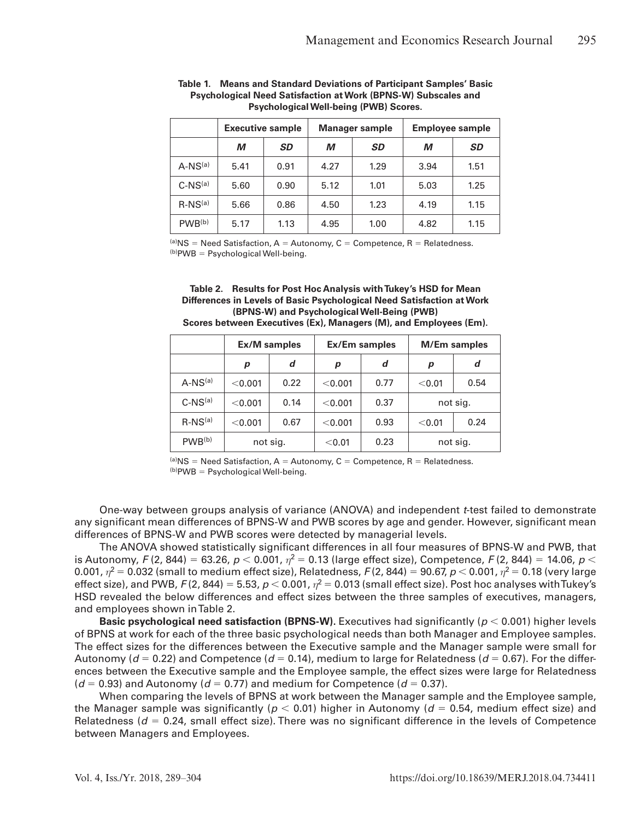|                    | <b>Executive sample</b> |           |      | <b>Manager sample</b> | <b>Employee sample</b> |           |  |
|--------------------|-------------------------|-----------|------|-----------------------|------------------------|-----------|--|
|                    | М                       | <b>SD</b> | М    | SD                    | М                      | <b>SD</b> |  |
| $A-NS(a)$          | 5.41                    | 0.91      | 4.27 | 1.29                  | 3.94                   | 1.51      |  |
| $C-NS(a)$          | 5.60                    | 0.90      | 5.12 | 1.01                  | 5.03                   | 1.25      |  |
| $R-NS(a)$          | 5.66                    | 0.86      | 4.50 | 1.23                  | 4.19                   | 1.15      |  |
| PWB <sup>(b)</sup> | 5.17                    | 1.13      | 4.95 | 1.00                  | 4.82                   | 1.15      |  |

**Table 1. Means and Standard Deviations of Participant Samples' Basic Psychological Need Satisfaction at Work (BPNS-W) Subscales and Psychological Well-being (PWB) Scores.**

 $(a)$ NS = Need Satisfaction, A = Autonomy, C = Competence, R = Relatedness.  $(b)$ PWB = Psychological Well-being.

#### **Table 2. Results for Post Hoc Analysis with Tukey's HSD for Mean Differences in Levels of Basic Psychological Need Satisfaction at Work (BPNS-W) and Psychological Well-Being (PWB)**

| Scores between Executives (Ex), Managers (M), and Employees (Em). |  |  |  |
|-------------------------------------------------------------------|--|--|--|
|-------------------------------------------------------------------|--|--|--|

|                    | <b>Ex/M samples</b> |      |         | Ex/Em samples | <b>M/Em samples</b> |          |
|--------------------|---------------------|------|---------|---------------|---------------------|----------|
|                    | p                   | d    | p       | d             | р                   | d        |
| $A-NS(a)$          | < 0.001             | 0.22 | < 0.001 | 0.77          | < 0.01              | 0.54     |
| $C-NS(a)$          | < 0.001             | 0.14 | < 0.001 | 0.37          |                     | not sig. |
| $R-NS(a)$          | < 0.001             | 0.67 | < 0.001 | 0.93          | < 0.01              | 0.24     |
| PWB <sup>(b)</sup> | not sig.            |      | < 0.01  | 0.23          |                     | not sig. |

 $(a)$ NS = Need Satisfaction, A = Autonomy, C = Competence, R = Relatedness.  $(b)$ PWB = Psychological Well-being.

One-way between groups analysis of variance (ANOVA) and independent *t*-test failed to demonstrate any significant mean differences of BPNS-W and PWB scores by age and gender. However, significant mean differences of BPNS-W and PWB scores were detected by managerial levels.

The ANOVA showed statistically significant differences in all four measures of BPNS-W and PWB, that is Autonomy, *F* (2, 844) = 63.26, *p* < 0.001,  $\eta^2$  = 0.13 (large effect size), Competence, *F* (2, 844) = 14.06, *p* < 0.001,  $\eta^2$  = 0.032 (small to medium effect size), Relatedness, *F* (2, 844) = 90.67, *p* < 0.001,  $\eta^2$  = 0.18 (very large effect size), and PWB,  $F(2, 844) = 5.53$ ,  $p < 0.001$ ,  $\eta^2 = 0.013$  (small effect size). Post hoc analyses with Tukey's HSD revealed the below differences and effect sizes between the three samples of executives, managers, and employees shown in Table 2.

**Basic psychological need satisfaction (BPNS-W).** Executives had significantly ( $p < 0.001$ ) higher levels of BPNS at work for each of the three basic psychological needs than both Manager and Employee samples. The effect sizes for the differences between the Executive sample and the Manager sample were small for Autonomy ( $d = 0.22$ ) and Competence ( $d = 0.14$ ), medium to large for Relatedness ( $d = 0.67$ ). For the differences between the Executive sample and the Employee sample, the effect sizes were large for Relatedness  $(d = 0.93)$  and Autonomy ( $d = 0.77$ ) and medium for Competence ( $d = 0.37$ ).

When comparing the levels of BPNS at work between the Manager sample and the Employee sample, the Manager sample was significantly ( $p < 0.01$ ) higher in Autonomy ( $d = 0.54$ , medium effect size) and Relatedness ( $d = 0.24$ , small effect size). There was no significant difference in the levels of Competence between Managers and Employees.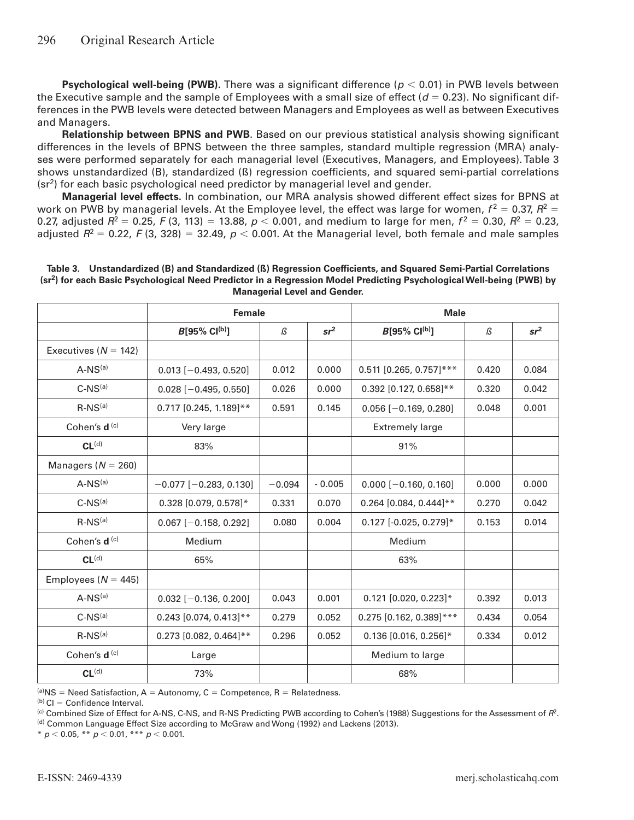**Psychological well-being (PWB).** There was a significant difference ( $p < 0.01$ ) in PWB levels between the Executive sample and the sample of Employees with a small size of effect  $(d = 0.23)$ . No significant differences in the PWB levels were detected between Managers and Employees as well as between Executives and Managers.

**Relationship between BPNS and PWB**. Based on our previous statistical analysis showing significant differences in the levels of BPNS between the three samples, standard multiple regression (MRA) analyses were performed separately for each managerial level (Executives, Managers, and Employees). Table 3 shows unstandardized (B), standardized (ß) regression coefficients, and squared semi-partial correlations  $(sr<sup>2</sup>)$  for each basic psychological need predictor by managerial level and gender.

**Managerial level effects.** In combination, our MRA analysis showed different effect sizes for BPNS at work on PWB by managerial levels. At the Employee level, the effect was large for women,  $f^2 = 0.37$ ,  $R^2 =$ 0.27, adjusted  $R^2 = 0.25$ , *F* (3, 113) = 13.88,  $p < 0.001$ , and medium to large for men,  $f^2 = 0.30$ ,  $R^2 = 0.23$ , adjusted  $R^2 = 0.22$ , *F* (3, 328) = 32.49,  $p < 0.001$ . At the Managerial level, both female and male samples

|                          | <b>Female</b>                |               |                 | <b>Male</b>               |       |                 |
|--------------------------|------------------------------|---------------|-----------------|---------------------------|-------|-----------------|
|                          | $B[95\% \; Cl^{(b)}]$        | $\mathcal{B}$ | sr <sup>2</sup> | $B[95\% \; Cl^{(b)}]$     | ß     | sr <sup>2</sup> |
| Executives ( $N = 142$ ) |                              |               |                 |                           |       |                 |
| $A-NS(a)$                | $0.013$ [-0.493, 0.520]      | 0.012         | 0.000           | $0.511$ [0.265, 0.757]*** | 0.420 | 0.084           |
| $C-NS(a)$                | $0.028$ [-0.495, 0.550]      | 0.026         | 0.000           | $0.392$ [0.127, 0.658]**  | 0.320 | 0.042           |
| $R-NS(a)$                | $0.717$ [0.245, 1.189]**     | 0.591         | 0.145           | $0.056$ [-0.169, 0.280]   | 0.048 | 0.001           |
| Cohen's d <sup>(c)</sup> | Very large                   |               |                 | <b>Extremely large</b>    |       |                 |
| CL <sup>(d)</sup>        | 83%                          |               |                 | 91%                       |       |                 |
| Managers ( $N = 260$ )   |                              |               |                 |                           |       |                 |
| $A-NS(a)$                | $-0.077$ [ $-0.283$ , 0.130] | $-0.094$      | $-0.005$        | $0.000$ [-0.160, 0.160]   | 0.000 | 0.000           |
| $C-NS(a)$                | 0.328 [0.079, 0.578]*        | 0.331         | 0.070           | $0.264$ [0.084, 0.444]**  | 0.270 | 0.042           |
| $R-NS(a)$                | $0.067$ [-0.158, 0.292]      | 0.080         | 0.004           | $0.127$ [-0.025, 0.279]*  | 0.153 | 0.014           |
| Cohen's d <sup>(c)</sup> | Medium                       |               |                 | Medium                    |       |                 |
| CL <sub>(d)</sub>        | 65%                          |               |                 | 63%                       |       |                 |
| Employees ( $N = 445$ )  |                              |               |                 |                           |       |                 |
| $A-NS(a)$                | $0.032$ [-0.136, 0.200]      | 0.043         | 0.001           | $0.121$ [0.020, 0.223]*   | 0.392 | 0.013           |
| $C-NS(a)$                | $0.243$ [0.074, 0.413]**     | 0.279         | 0.052           | $0.275$ [0.162, 0.389]*** | 0.434 | 0.054           |
| $R-NS(a)$                | $0.273$ [0.082, 0.464]**     | 0.296         | 0.052           | $0.136$ [0.016, 0.256]*   | 0.334 | 0.012           |
| Cohen's d <sup>(c)</sup> | Large                        |               |                 | Medium to large           |       |                 |
| CL <sup>(d)</sup>        | 73%                          |               |                 | 68%                       |       |                 |

| Table 3. Unstandardized (B) and Standardized (B) Regression Coefficients, and Squared Semi-Partial Correlations                   |
|-----------------------------------------------------------------------------------------------------------------------------------|
| (sr <sup>2</sup> ) for each Basic Psychological Need Predictor in a Regression Model Predicting Psychological Well-being (PWB) by |
| <b>Managerial Level and Gender.</b>                                                                                               |

(a) NS = Need Satisfaction, A = Autonomy, C = Competence, R = Relatedness.

 $(b)$  CI = Confidence Interval.

(c) Combined Size of Effect for A-NS, C-NS, and R-NS Predicting PWB according to Cohen's (1988) Suggestions for the Assessment of *R*2. (d) Common Language Effect Size according to McGraw and Wong (1992) and Lackens (2013).

 $*$  *p* < 0.05,  $*$  *k p* < 0.01,  $*$  *k k p* < 0.001.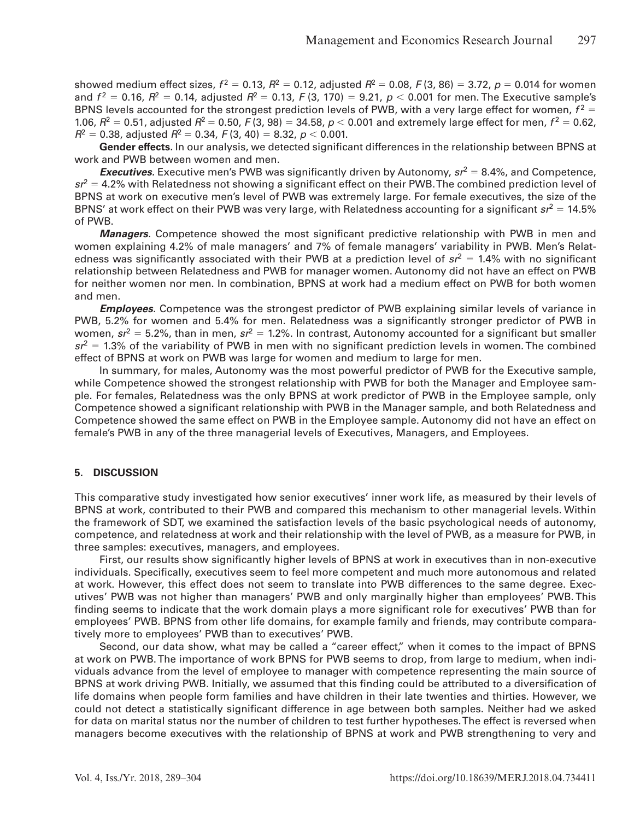showed medium effect sizes,  $f^2 = 0.13$ ,  $R^2 = 0.12$ , adjusted  $R^2 = 0.08$ ,  $F(3, 86) = 3.72$ ,  $p = 0.014$  for women and  $f^2 = 0.16$ ,  $R^2 = 0.14$ , adjusted  $R^2 = 0.13$ ,  $F(3, 170) = 9.21$ ,  $p < 0.001$  for men. The Executive sample's BPNS levels accounted for the strongest prediction levels of PWB, with a very large effect for women,  $f^2 =$ 1.06,  $R^2 = 0.51$ , adjusted  $R^2 = 0.50$ ,  $F(3, 98) = 34.58$ ,  $p < 0.001$  and extremely large effect for men,  $f^2 = 0.62$ ,  $R^2 = 0.38$ , adjusted  $R^2 = 0.34$ ,  $F(3, 40) = 8.32$ ,  $p < 0.001$ .

**Gender effects.** In our analysis, we detected significant differences in the relationship between BPNS at work and PWB between women and men.

**Executives.** Executive men's PWB was significantly driven by Autonomy,  $sr^2 = 8.4\%$ , and Competence,  $sr^2$  = 4.2% with Relatedness not showing a significant effect on their PWB. The combined prediction level of BPNS at work on executive men's level of PWB was extremely large. For female executives, the size of the BPNS' at work effect on their PWB was very large, with Relatedness accounting for a significant  $sr^2 = 14.5\%$ of PWB.

*Managers.* Competence showed the most significant predictive relationship with PWB in men and women explaining 4.2% of male managers' and 7% of female managers' variability in PWB. Men's Relatedness was significantly associated with their PWB at a prediction level of  $sr^2 = 1.4\%$  with no significant relationship between Relatedness and PWB for manager women. Autonomy did not have an effect on PWB for neither women nor men. In combination, BPNS at work had a medium effect on PWB for both women and men.

*Employees.* Competence was the strongest predictor of PWB explaining similar levels of variance in PWB, 5.2% for women and 5.4% for men. Relatedness was a significantly stronger predictor of PWB in women,  $sr^2 = 5.2\%$ , than in men,  $sr^2 = 1.2\%$ . In contrast, Autonomy accounted for a significant but smaller  $sr<sup>2</sup> = 1.3%$  of the variability of PWB in men with no significant prediction levels in women. The combined effect of BPNS at work on PWB was large for women and medium to large for men.

In summary, for males, Autonomy was the most powerful predictor of PWB for the Executive sample, while Competence showed the strongest relationship with PWB for both the Manager and Employee sample. For females, Relatedness was the only BPNS at work predictor of PWB in the Employee sample, only Competence showed a significant relationship with PWB in the Manager sample, and both Relatedness and Competence showed the same effect on PWB in the Employee sample. Autonomy did not have an effect on female's PWB in any of the three managerial levels of Executives, Managers, and Employees.

#### **5. DISCUSSION**

This comparative study investigated how senior executives' inner work life, as measured by their levels of BPNS at work, contributed to their PWB and compared this mechanism to other managerial levels. Within the framework of SDT, we examined the satisfaction levels of the basic psychological needs of autonomy, competence, and relatedness at work and their relationship with the level of PWB, as a measure for PWB, in three samples: executives, managers, and employees.

First, our results show significantly higher levels of BPNS at work in executives than in non-executive individuals. Specifically, executives seem to feel more competent and much more autonomous and related at work. However, this effect does not seem to translate into PWB differences to the same degree. Executives' PWB was not higher than managers' PWB and only marginally higher than employees' PWB. This finding seems to indicate that the work domain plays a more significant role for executives' PWB than for employees' PWB. BPNS from other life domains, for example family and friends, may contribute comparatively more to employees' PWB than to executives' PWB.

Second, our data show, what may be called a "career effect," when it comes to the impact of BPNS at work on PWB. The importance of work BPNS for PWB seems to drop, from large to medium, when individuals advance from the level of employee to manager with competence representing the main source of BPNS at work driving PWB. Initially, we assumed that this finding could be attributed to a diversification of life domains when people form families and have children in their late twenties and thirties. However, we could not detect a statistically significant difference in age between both samples. Neither had we asked for data on marital status nor the number of children to test further hypotheses. The effect is reversed when managers become executives with the relationship of BPNS at work and PWB strengthening to very and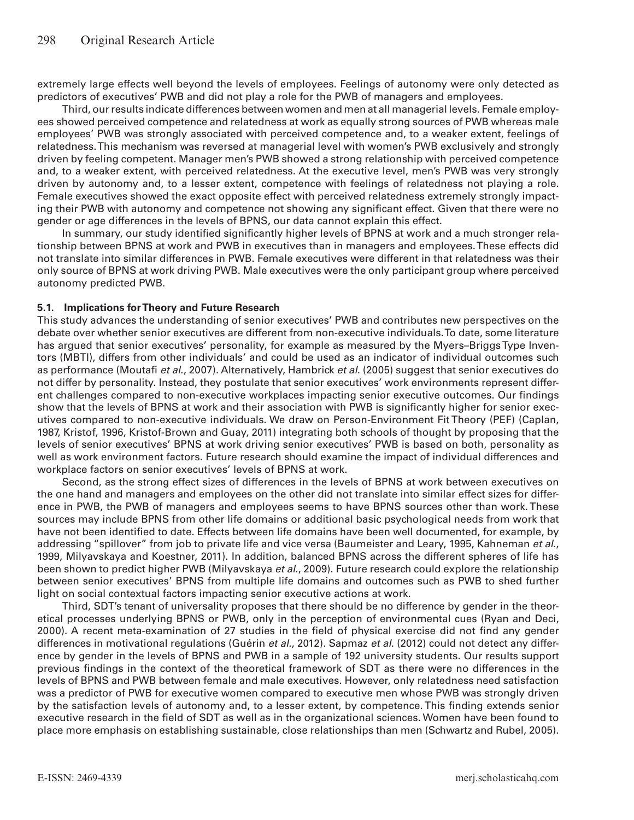extremely large effects well beyond the levels of employees. Feelings of autonomy were only detected as predictors of executives' PWB and did not play a role for the PWB of managers and employees.

Third, our results indicate differences between women and men at all managerial levels. Female employees showed perceived competence and relatedness at work as equally strong sources of PWB whereas male employees' PWB was strongly associated with perceived competence and, to a weaker extent, feelings of relatedness. This mechanism was reversed at managerial level with women's PWB exclusively and strongly driven by feeling competent. Manager men's PWB showed a strong relationship with perceived competence and, to a weaker extent, with perceived relatedness. At the executive level, men's PWB was very strongly driven by autonomy and, to a lesser extent, competence with feelings of relatedness not playing a role. Female executives showed the exact opposite effect with perceived relatedness extremely strongly impacting their PWB with autonomy and competence not showing any significant effect. Given that there were no gender or age differences in the levels of BPNS, our data cannot explain this effect.

In summary, our study identified significantly higher levels of BPNS at work and a much stronger relationship between BPNS at work and PWB in executives than in managers and employees. These effects did not translate into similar differences in PWB. Female executives were different in that relatedness was their only source of BPNS at work driving PWB. Male executives were the only participant group where perceived autonomy predicted PWB.

#### **5.1. Implications for Theory and Future Research**

This study advances the understanding of senior executives' PWB and contributes new perspectives on the debate over whether senior executives are different from non-executive individuals. To date, some literature has argued that senior executives' personality, for example as measured by the Myers–Briggs Type Inventors (MBTI), differs from other individuals' and could be used as an indicator of individual outcomes such as performance (Moutafi *et al*., 2007). Alternatively, Hambrick *et al*. (2005) suggest that senior executives do not differ by personality. Instead, they postulate that senior executives' work environments represent different challenges compared to non-executive workplaces impacting senior executive outcomes. Our findings show that the levels of BPNS at work and their association with PWB is significantly higher for senior executives compared to non-executive individuals. We draw on Person-Environment Fit Theory (PEF) (Caplan, 1987, Kristof, 1996, Kristof-Brown and Guay, 2011) integrating both schools of thought by proposing that the levels of senior executives' BPNS at work driving senior executives' PWB is based on both, personality as well as work environment factors. Future research should examine the impact of individual differences and workplace factors on senior executives' levels of BPNS at work.

Second, as the strong effect sizes of differences in the levels of BPNS at work between executives on the one hand and managers and employees on the other did not translate into similar effect sizes for difference in PWB, the PWB of managers and employees seems to have BPNS sources other than work. These sources may include BPNS from other life domains or additional basic psychological needs from work that have not been identified to date. Effects between life domains have been well documented, for example, by addressing "spillover" from job to private life and vice versa (Baumeister and Leary, 1995, Kahneman *et al*., 1999, Milyavskaya and Koestner, 2011). In addition, balanced BPNS across the different spheres of life has been shown to predict higher PWB (Milyavskaya *et al*., 2009). Future research could explore the relationship between senior executives' BPNS from multiple life domains and outcomes such as PWB to shed further light on social contextual factors impacting senior executive actions at work.

Third, SDT's tenant of universality proposes that there should be no difference by gender in the theoretical processes underlying BPNS or PWB, only in the perception of environmental cues (Ryan and Deci, 2000). A recent meta-examination of 27 studies in the field of physical exercise did not find any gender differences in motivational regulations (Guérin *et al*., 2012). Sapmaz *et al*. (2012) could not detect any difference by gender in the levels of BPNS and PWB in a sample of 192 university students. Our results support previous findings in the context of the theoretical framework of SDT as there were no differences in the levels of BPNS and PWB between female and male executives. However, only relatedness need satisfaction was a predictor of PWB for executive women compared to executive men whose PWB was strongly driven by the satisfaction levels of autonomy and, to a lesser extent, by competence. This finding extends senior executive research in the field of SDT as well as in the organizational sciences. Women have been found to place more emphasis on establishing sustainable, close relationships than men (Schwartz and Rubel, 2005).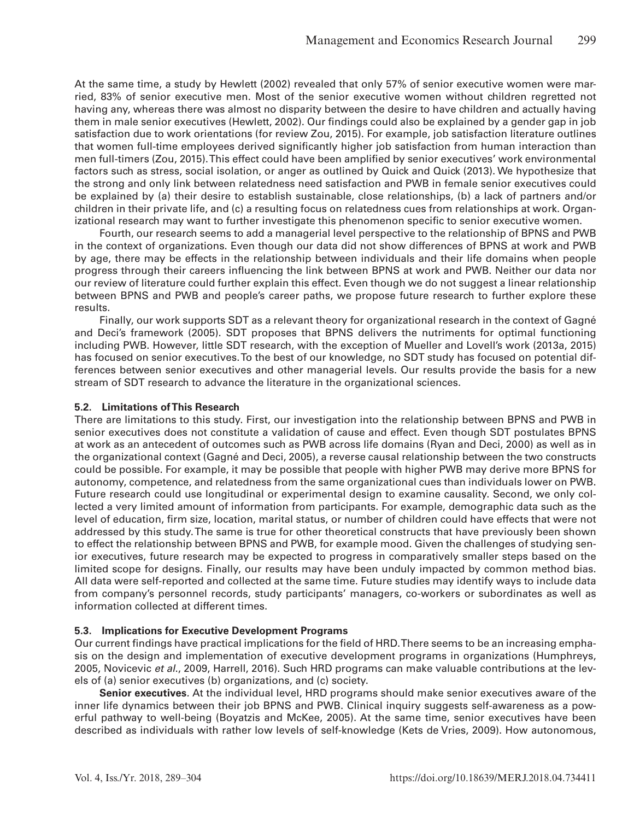At the same time, a study by Hewlett (2002) revealed that only 57% of senior executive women were married, 83% of senior executive men. Most of the senior executive women without children regretted not having any, whereas there was almost no disparity between the desire to have children and actually having them in male senior executives (Hewlett, 2002). Our findings could also be explained by a gender gap in job satisfaction due to work orientations (for review Zou, 2015). For example, job satisfaction literature outlines that women full-time employees derived significantly higher job satisfaction from human interaction than men full-timers (Zou, 2015). This effect could have been amplified by senior executives' work environmental factors such as stress, social isolation, or anger as outlined by Quick and Quick (2013). We hypothesize that the strong and only link between relatedness need satisfaction and PWB in female senior executives could be explained by (a) their desire to establish sustainable, close relationships, (b) a lack of partners and/or children in their private life, and (c) a resulting focus on relatedness cues from relationships at work. Organizational research may want to further investigate this phenomenon specific to senior executive women.

Fourth, our research seems to add a managerial level perspective to the relationship of BPNS and PWB in the context of organizations. Even though our data did not show differences of BPNS at work and PWB by age, there may be effects in the relationship between individuals and their life domains when people progress through their careers influencing the link between BPNS at work and PWB. Neither our data nor our review of literature could further explain this effect. Even though we do not suggest a linear relationship between BPNS and PWB and people's career paths, we propose future research to further explore these results.

Finally, our work supports SDT as a relevant theory for organizational research in the context of Gagné and Deci's framework (2005). SDT proposes that BPNS delivers the nutriments for optimal functioning including PWB. However, little SDT research, with the exception of Mueller and Lovell's work (2013a, 2015) has focused on senior executives. To the best of our knowledge, no SDT study has focused on potential differences between senior executives and other managerial levels. Our results provide the basis for a new stream of SDT research to advance the literature in the organizational sciences.

#### **5.2. Limitations of This Research**

There are limitations to this study. First, our investigation into the relationship between BPNS and PWB in senior executives does not constitute a validation of cause and effect. Even though SDT postulates BPNS at work as an antecedent of outcomes such as PWB across life domains (Ryan and Deci, 2000) as well as in the organizational context (Gagné and Deci, 2005), a reverse causal relationship between the two constructs could be possible. For example, it may be possible that people with higher PWB may derive more BPNS for autonomy, competence, and relatedness from the same organizational cues than individuals lower on PWB. Future research could use longitudinal or experimental design to examine causality. Second, we only collected a very limited amount of information from participants. For example, demographic data such as the level of education, firm size, location, marital status, or number of children could have effects that were not addressed by this study. The same is true for other theoretical constructs that have previously been shown to effect the relationship between BPNS and PWB, for example mood. Given the challenges of studying senior executives, future research may be expected to progress in comparatively smaller steps based on the limited scope for designs. Finally, our results may have been unduly impacted by common method bias. All data were self-reported and collected at the same time. Future studies may identify ways to include data from company's personnel records, study participants' managers, co-workers or subordinates as well as information collected at different times.

#### **5.3. Implications for Executive Development Programs**

Our current findings have practical implications for the field of HRD. There seems to be an increasing emphasis on the design and implementation of executive development programs in organizations (Humphreys, 2005, Novicevic *et al*., 2009, Harrell, 2016). Such HRD programs can make valuable contributions at the levels of (a) senior executives (b) organizations, and (c) society.

**Senior executives***.* At the individual level, HRD programs should make senior executives aware of the inner life dynamics between their job BPNS and PWB. Clinical inquiry suggests self-awareness as a powerful pathway to well-being (Boyatzis and McKee, 2005). At the same time, senior executives have been described as individuals with rather low levels of self-knowledge (Kets de Vries, 2009). How autonomous,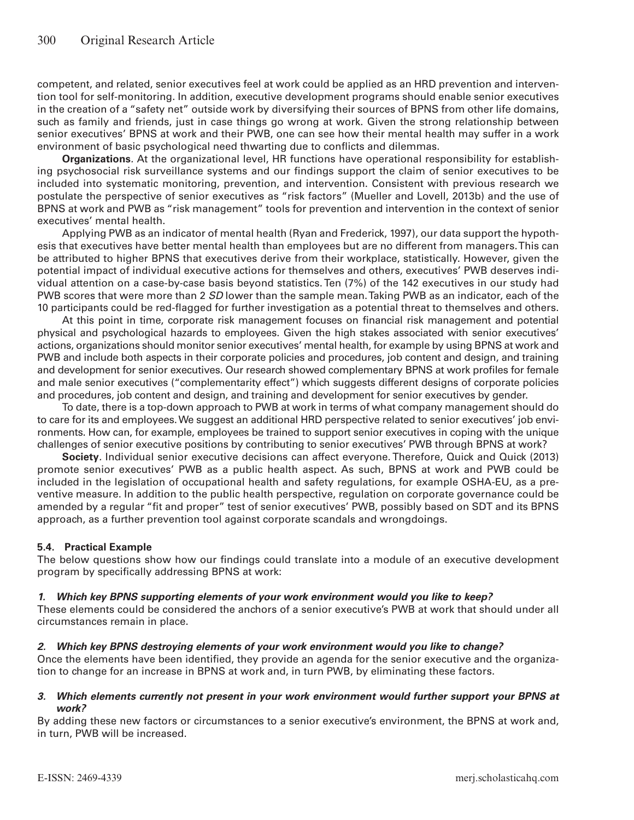competent, and related, senior executives feel at work could be applied as an HRD prevention and intervention tool for self-monitoring. In addition, executive development programs should enable senior executives in the creation of a "safety net" outside work by diversifying their sources of BPNS from other life domains, such as family and friends, just in case things go wrong at work. Given the strong relationship between senior executives' BPNS at work and their PWB, one can see how their mental health may suffer in a work environment of basic psychological need thwarting due to conflicts and dilemmas.

**Organizations***.* At the organizational level, HR functions have operational responsibility for establishing psychosocial risk surveillance systems and our findings support the claim of senior executives to be included into systematic monitoring, prevention, and intervention. Consistent with previous research we postulate the perspective of senior executives as "risk factors" (Mueller and Lovell, 2013b) and the use of BPNS at work and PWB as "risk management" tools for prevention and intervention in the context of senior executives' mental health.

Applying PWB as an indicator of mental health (Ryan and Frederick, 1997), our data support the hypothesis that executives have better mental health than employees but are no different from managers. This can be attributed to higher BPNS that executives derive from their workplace, statistically. However, given the potential impact of individual executive actions for themselves and others, executives' PWB deserves individual attention on a case-by-case basis beyond statistics. Ten (7%) of the 142 executives in our study had PWB scores that were more than 2 *SD* lower than the sample mean. Taking PWB as an indicator, each of the 10 participants could be red-flagged for further investigation as a potential threat to themselves and others.

At this point in time, corporate risk management focuses on financial risk management and potential physical and psychological hazards to employees. Given the high stakes associated with senior executives' actions, organizations should monitor senior executives' mental health, for example by using BPNS at work and PWB and include both aspects in their corporate policies and procedures, job content and design, and training and development for senior executives. Our research showed complementary BPNS at work profiles for female and male senior executives ("complementarity effect") which suggests different designs of corporate policies and procedures, job content and design, and training and development for senior executives by gender.

To date, there is a top-down approach to PWB at work in terms of what company management should do to care for its and employees. We suggest an additional HRD perspective related to senior executives' job environments. How can, for example, employees be trained to support senior executives in coping with the unique challenges of senior executive positions by contributing to senior executives' PWB through BPNS at work?

**Society***.* Individual senior executive decisions can affect everyone. Therefore, Quick and Quick (2013) promote senior executives' PWB as a public health aspect. As such, BPNS at work and PWB could be included in the legislation of occupational health and safety regulations, for example OSHA-EU, as a preventive measure. In addition to the public health perspective, regulation on corporate governance could be amended by a regular "fit and proper" test of senior executives' PWB, possibly based on SDT and its BPNS approach, as a further prevention tool against corporate scandals and wrongdoings.

#### **5.4. Practical Example**

The below questions show how our findings could translate into a module of an executive development program by specifically addressing BPNS at work:

#### *1. Which key BPNS supporting elements of your work environment would you like to keep?*

These elements could be considered the anchors of a senior executive's PWB at work that should under all circumstances remain in place.

#### *2. Which key BPNS destroying elements of your work environment would you like to change?*

Once the elements have been identified, they provide an agenda for the senior executive and the organization to change for an increase in BPNS at work and, in turn PWB, by eliminating these factors.

#### *3. Which elements currently not present in your work environment would further support your BPNS at work?*

By adding these new factors or circumstances to a senior executive's environment, the BPNS at work and, in turn, PWB will be increased.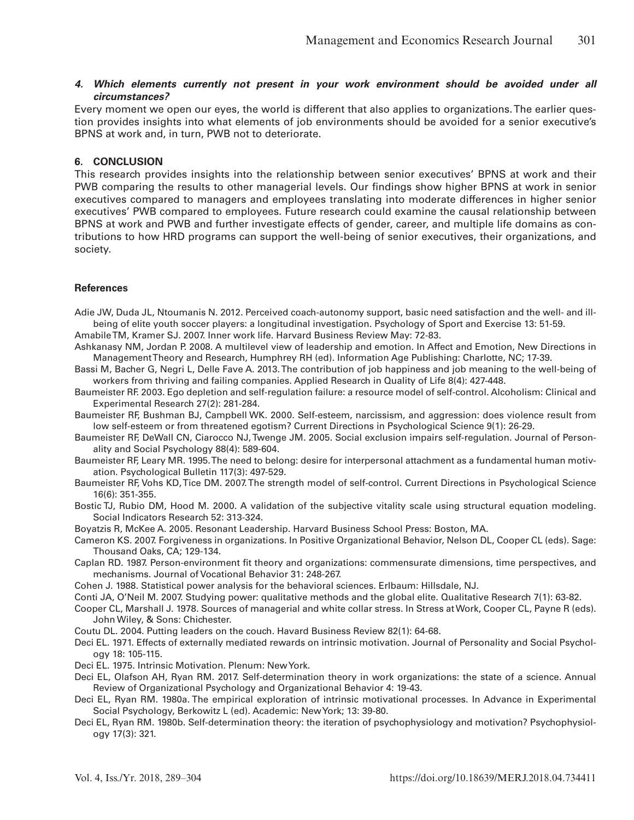#### *4. Which elements currently not present in your work environment should be avoided under all circumstances?*

Every moment we open our eyes, the world is different that also applies to organizations. The earlier question provides insights into what elements of job environments should be avoided for a senior executive's BPNS at work and, in turn, PWB not to deteriorate.

#### **6. CONCLUSION**

This research provides insights into the relationship between senior executives' BPNS at work and their PWB comparing the results to other managerial levels. Our findings show higher BPNS at work in senior executives compared to managers and employees translating into moderate differences in higher senior executives' PWB compared to employees. Future research could examine the causal relationship between BPNS at work and PWB and further investigate effects of gender, career, and multiple life domains as contributions to how HRD programs can support the well-being of senior executives, their organizations, and society.

#### **References**

Adie JW, Duda JL, Ntoumanis N. 2012. Perceived coach-autonomy support, basic need satisfaction and the well- and illbeing of elite youth soccer players: a longitudinal investigation. Psychology of Sport and Exercise 13: 51-59.

Amabile TM, Kramer SJ. 2007. Inner work life. Harvard Business Review May: 72-83.

Ashkanasy NM, Jordan P. 2008. A multilevel view of leadership and emotion. In Affect and Emotion, New Directions in Management Theory and Research, Humphrey RH (ed). Information Age Publishing: Charlotte, NC; 17-39.

- Bassi M, Bacher G, Negri L, Delle Fave A. 2013. The contribution of job happiness and job meaning to the well-being of workers from thriving and failing companies. Applied Research in Quality of Life 8(4): 427-448.
- Baumeister RF. 2003. Ego depletion and self-regulation failure: a resource model of self-control. Alcoholism: Clinical and Experimental Research 27(2): 281-284.
- Baumeister RF, Bushman BJ, Campbell WK. 2000. Self-esteem, narcissism, and aggression: does violence result from low self-esteem or from threatened egotism? Current Directions in Psychological Science 9(1): 26-29.
- Baumeister RF, DeWall CN, Ciarocco NJ, Twenge JM. 2005. Social exclusion impairs self-regulation. Journal of Personality and Social Psychology 88(4): 589-604.
- Baumeister RF, Leary MR. 1995. The need to belong: desire for interpersonal attachment as a fundamental human motivation. Psychological Bulletin 117(3): 497-529.
- Baumeister RF, Vohs KD, Tice DM. 2007. The strength model of self-control. Current Directions in Psychological Science 16(6): 351-355.
- Bostic TJ, Rubio DM, Hood M. 2000. A validation of the subjective vitality scale using structural equation modeling. Social Indicators Research 52: 313-324.
- Boyatzis R, McKee A. 2005. Resonant Leadership. Harvard Business School Press: Boston, MA.
- Cameron KS. 2007. Forgiveness in organizations. In Positive Organizational Behavior, Nelson DL, Cooper CL (eds). Sage: Thousand Oaks, CA; 129-134.
- Caplan RD. 1987. Person-environment fit theory and organizations: commensurate dimensions, time perspectives, and mechanisms. Journal of Vocational Behavior 31: 248-267.
- Cohen J. 1988. Statistical power analysis for the behavioral sciences. Erlbaum: Hillsdale, NJ.
- Conti JA, O'Neil M. 2007. Studying power: qualitative methods and the global elite. Qualitative Research 7(1): 63-82.
- Cooper CL, Marshall J. 1978. Sources of managerial and white collar stress. In Stress at Work, Cooper CL, Payne R (eds). John Wiley, & Sons: Chichester.
- Coutu DL. 2004. Putting leaders on the couch. Havard Business Review 82(1): 64-68.
- Deci EL. 1971. Effects of externally mediated rewards on intrinsic motivation. Journal of Personality and Social Psychology 18: 105-115.
- Deci EL. 1975. Intrinsic Motivation. Plenum: New York.
- Deci EL, Olafson AH, Ryan RM. 2017. Self-determination theory in work organizations: the state of a science. Annual Review of Organizational Psychology and Organizational Behavior 4: 19-43.
- Deci EL, Ryan RM. 1980a. The empirical exploration of intrinsic motivational processes. In Advance in Experimental Social Psychology, Berkowitz L (ed). Academic: New York; 13: 39-80.
- Deci EL, Ryan RM. 1980b. Self-determination theory: the iteration of psychophysiology and motivation? Psychophysiology 17(3): 321.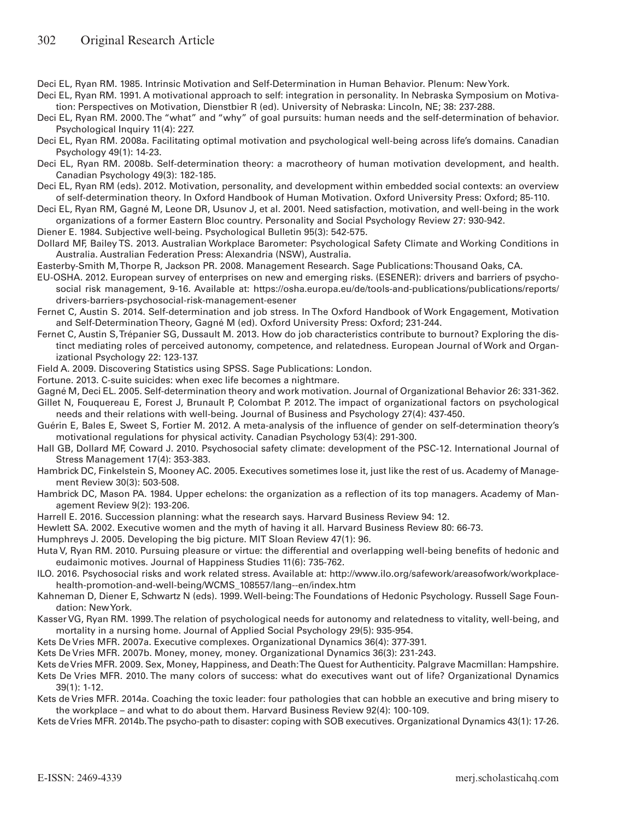Deci EL, Ryan RM. 1985. Intrinsic Motivation and Self-Determination in Human Behavior. Plenum: New York.

- Deci EL, Ryan RM. 1991. A motivational approach to self: integration in personality. In Nebraska Symposium on Motivation: Perspectives on Motivation, Dienstbier R (ed). University of Nebraska: Lincoln, NE; 38: 237-288.
- Deci EL, Ryan RM. 2000. The "what" and "why" of goal pursuits: human needs and the self-determination of behavior. Psychological Inquiry 11(4): 227.
- Deci EL, Ryan RM. 2008a. Facilitating optimal motivation and psychological well-being across life's domains. Canadian Psychology 49(1): 14-23.
- Deci EL, Ryan RM. 2008b. Self-determination theory: a macrotheory of human motivation development, and health. Canadian Psychology 49(3): 182-185.
- Deci EL, Ryan RM (eds). 2012. Motivation, personality, and development within embedded social contexts: an overview of self-determination theory. In Oxford Handbook of Human Motivation. Oxford University Press: Oxford; 85-110.
- Deci EL, Ryan RM, Gagné M, Leone DR, Usunov J, et al. 2001. Need satisfaction, motivation, and well-being in the work organizations of a former Eastern Bloc country. Personality and Social Psychology Review 27: 930-942.
- Diener E. 1984. Subjective well-being. Psychological Bulletin 95(3): 542-575.
- Dollard MF, Bailey TS. 2013. Australian Workplace Barometer: Psychological Safety Climate and Working Conditions in Australia. Australian Federation Press: Alexandria (NSW), Australia.
- Easterby-Smith M, Thorpe R, Jackson PR. 2008. Management Research. Sage Publications: Thousand Oaks, CA.
- EU-OSHA. 2012. European survey of enterprises on new and emerging risks. (ESENER): drivers and barriers of psychosocial risk management, 9-16. Available at: https://osha.europa.eu/de/tools-and-publications/publications/reports/ drivers-barriers-psychosocial-risk-management-esener
- Fernet C, Austin S. 2014. Self-determination and job stress. In The Oxford Handbook of Work Engagement, Motivation and Self-Determination Theory, Gagné M (ed). Oxford University Press: Oxford; 231-244.
- Fernet C, Austin S, Trépanier SG, Dussault M. 2013. How do job characteristics contribute to burnout? Exploring the distinct mediating roles of perceived autonomy, competence, and relatedness. European Journal of Work and Organizational Psychology 22: 123-137.
- Field A. 2009. Discovering Statistics using SPSS. Sage Publications: London.
- Fortune. 2013. C-suite suicides: when exec life becomes a nightmare.
- Gagné M, Deci EL. 2005. Self-determination theory and work motivation. Journal of Organizational Behavior 26: 331-362.
- Gillet N, Fouquereau E, Forest J, Brunault P, Colombat P. 2012. The impact of organizational factors on psychological needs and their relations with well-being. Journal of Business and Psychology 27(4): 437-450.
- Guérin E, Bales E, Sweet S, Fortier M. 2012. A meta-analysis of the influence of gender on self-determination theory's motivational regulations for physical activity. Canadian Psychology 53(4): 291-300.
- Hall GB, Dollard MF, Coward J. 2010. Psychosocial safety climate: development of the PSC-12. International Journal of Stress Management 17(4): 353-383.
- Hambrick DC, Finkelstein S, Mooney AC. 2005. Executives sometimes lose it, just like the rest of us. Academy of Management Review 30(3): 503-508.
- Hambrick DC, Mason PA. 1984. Upper echelons: the organization as a reflection of its top managers. Academy of Management Review 9(2): 193-206.
- Harrell E. 2016. Succession planning: what the research says. Harvard Business Review 94: 12.
- Hewlett SA. 2002. Executive women and the myth of having it all. Harvard Business Review 80: 66-73.
- Humphreys J. 2005. Developing the big picture. MIT Sloan Review 47(1): 96.
- Huta V, Ryan RM. 2010. Pursuing pleasure or virtue: the differential and overlapping well-being benefits of hedonic and eudaimonic motives. Journal of Happiness Studies 11(6): 735-762.
- ILO. 2016. Psychosocial risks and work related stress. Available at: http://www.ilo.org/safework/areasofwork/workplacehealth-promotion-and-well-being/WCMS\_108557/lang--en/index.htm
- Kahneman D, Diener E, Schwartz N (eds). 1999. Well-being: The Foundations of Hedonic Psychology. Russell Sage Foundation: New York.
- Kasser VG, Ryan RM. 1999. The relation of psychological needs for autonomy and relatedness to vitality, well-being, and mortality in a nursing home. Journal of Applied Social Psychology 29(5): 935-954.
- Kets De Vries MFR. 2007a. Executive complexes. Organizational Dynamics 36(4): 377-391.
- Kets De Vries MFR. 2007b. Money, money, money. Organizational Dynamics 36(3): 231-243.
- Kets de Vries MFR. 2009. Sex, Money, Happiness, and Death: The Quest for Authenticity. Palgrave Macmillan: Hampshire. Kets De Vries MFR. 2010. The many colors of success: what do executives want out of life? Organizational Dynamics 39(1): 1-12.
- Kets de Vries MFR. 2014a. Coaching the toxic leader: four pathologies that can hobble an executive and bring misery to the workplace – and what to do about them. Harvard Business Review 92(4): 100-109.
- Kets de Vries MFR. 2014b. The psycho-path to disaster: coping with SOB executives. Organizational Dynamics 43(1): 17-26.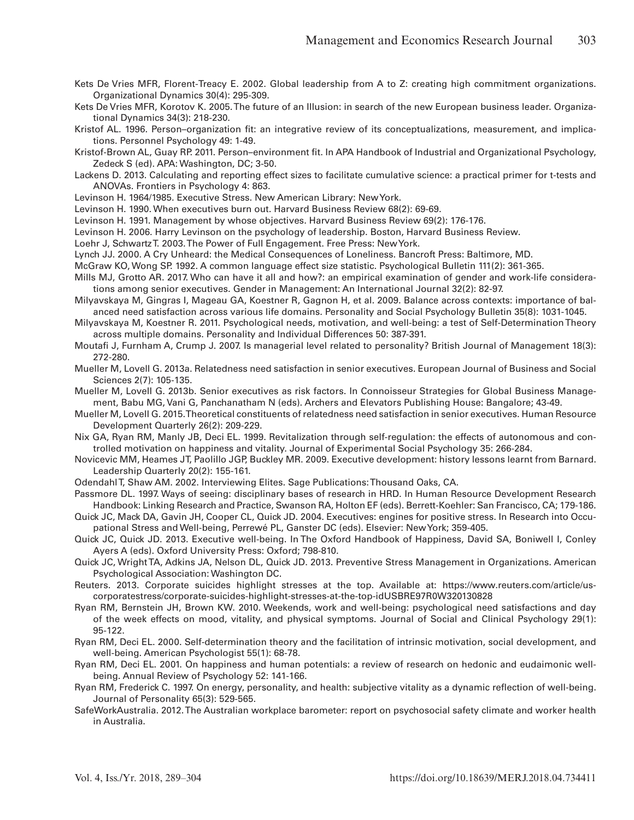- Kets De Vries MFR, Florent-Treacy E. 2002. Global leadership from A to Z: creating high commitment organizations. Organizational Dynamics 30(4): 295-309.
- Kets De Vries MFR, Korotov K. 2005. The future of an Illusion: in search of the new European business leader. Organizational Dynamics 34(3): 218-230.
- Kristof AL. 1996. Person–organization fit: an integrative review of its conceptualizations, measurement, and implications. Personnel Psychology 49: 1-49.
- Kristof-Brown AL, Guay RP. 2011. Person–environment fit. In APA Handbook of Industrial and Organizational Psychology, Zedeck S (ed). APA: Washington, DC; 3-50.
- Lackens D. 2013. Calculating and reporting effect sizes to facilitate cumulative science: a practical primer for t-tests and ANOVAs. Frontiers in Psychology 4: 863.
- Levinson H. 1964/1985. Executive Stress. New American Library: New York.
- Levinson H. 1990. When executives burn out. Harvard Business Review 68(2): 69-69.
- Levinson H. 1991. Management by whose objectives. Harvard Business Review 69(2): 176-176.
- Levinson H. 2006. Harry Levinson on the psychology of leadership. Boston, Harvard Business Review.
- Loehr J, Schwartz T. 2003. The Power of Full Engagement. Free Press: New York.
- Lynch JJ. 2000. A Cry Unheard: the Medical Consequences of Loneliness. Bancroft Press: Baltimore, MD.
- McGraw KO, Wong SP. 1992. A common language effect size statistic. Psychological Bulletin 111(2): 361-365.
- Mills MJ, Grotto AR. 2017. Who can have it all and how?: an empirical examination of gender and work-life considerations among senior executives. Gender in Management: An International Journal 32(2): 82-97.
- Milyavskaya M, Gingras I, Mageau GA, Koestner R, Gagnon H, et al. 2009. Balance across contexts: importance of balanced need satisfaction across various life domains. Personality and Social Psychology Bulletin 35(8): 1031-1045.
- Milyavskaya M, Koestner R. 2011. Psychological needs, motivation, and well-being: a test of Self-Determination Theory across multiple domains. Personality and Individual Differences 50: 387-391.
- Moutafi J, Furnham A, Crump J. 2007. Is managerial level related to personality? British Journal of Management 18(3): 272-280.
- Mueller M, Lovell G. 2013a. Relatedness need satisfaction in senior executives. European Journal of Business and Social Sciences 2(7): 105-135.
- Mueller M, Lovell G. 2013b. Senior executives as risk factors. In Connoisseur Strategies for Global Business Management, Babu MG, Vani G, Panchanatham N (eds). Archers and Elevators Publishing House: Bangalore; 43-49.
- Mueller M, Lovell G. 2015. Theoretical constituents of relatedness need satisfaction in senior executives. Human Resource Development Quarterly 26(2): 209-229.
- Nix GA, Ryan RM, Manly JB, Deci EL. 1999. Revitalization through self-regulation: the effects of autonomous and controlled motivation on happiness and vitality. Journal of Experimental Social Psychology 35: 266-284.
- Novicevic MM, Heames JT, Paolillo JGP, Buckley MR. 2009. Executive development: history lessons learnt from Barnard. Leadership Quarterly 20(2): 155-161.
- Odendahl T, Shaw AM. 2002. Interviewing Elites. Sage Publications: Thousand Oaks, CA.
- Passmore DL. 1997. Ways of seeing: disciplinary bases of research in HRD. In Human Resource Development Research Handbook: Linking Research and Practice, Swanson RA, Holton EF (eds). Berrett-Koehler: San Francisco, CA; 179-186.
- Quick JC, Mack DA, Gavin JH, Cooper CL, Quick JD. 2004. Executives: engines for positive stress. In Research into Occupational Stress and Well-being, Perrewé PL, Ganster DC (eds). Elsevier: New York; 359-405.
- Quick JC, Quick JD. 2013. Executive well-being. In The Oxford Handbook of Happiness, David SA, Boniwell I, Conley Ayers A (eds). Oxford University Press: Oxford; 798-810.
- Quick JC, Wright TA, Adkins JA, Nelson DL, Quick JD. 2013. Preventive Stress Management in Organizations. American Psychological Association: Washington DC.
- Reuters. 2013. Corporate suicides highlight stresses at the top. Available at: https://www.reuters.com/article/uscorporatestress/corporate-suicides-highlight-stresses-at-the-top-idUSBRE97R0W320130828
- Ryan RM, Bernstein JH, Brown KW. 2010. Weekends, work and well-being: psychological need satisfactions and day of the week effects on mood, vitality, and physical symptoms. Journal of Social and Clinical Psychology 29(1): 95-122.
- Ryan RM, Deci EL. 2000. Self-determination theory and the facilitation of intrinsic motivation, social development, and well-being. American Psychologist 55(1): 68-78.
- Ryan RM, Deci EL. 2001. On happiness and human potentials: a review of research on hedonic and eudaimonic wellbeing. Annual Review of Psychology 52: 141-166.
- Ryan RM, Frederick C. 1997. On energy, personality, and health: subjective vitality as a dynamic reflection of well-being. Journal of Personality 65(3): 529-565.
- SafeWorkAustralia. 2012. The Australian workplace barometer: report on psychosocial safety climate and worker health in Australia.